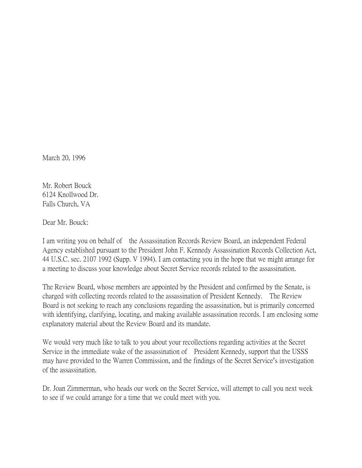March 20, 1996

Mr. Robert Bouck 6124 Knollwood Dr. Falls Church, VA

Dear Mr. Bouck:

I am writing you on behalf of the Assassination Records Review Board, an independent Federal Agency established pursuant to the President John F. Kennedy Assassination Records Collection Act, 44 U.S.C. sec. 2107 1992 (Supp. V 1994). I am contacting you in the hope that we might arrange for a meeting to discuss your knowledge about Secret Service records related to the assassination.

The Review Board, whose members are appointed by the President and confirmed by the Senate, is charged with collecting records related to the assassination of President Kennedy. The Review Board is not seeking to reach any conclusions regarding the assassination, but is primarily concerned with identifying, clarifying, locating, and making available assassination records. I am enclosing some explanatory material about the Review Board and its mandate.

We would very much like to talk to you about your recollections regarding activities at the Secret Service in the immediate wake of the assassination of President Kennedy, support that the USSS may have provided to the Warren Commission, and the findings of the Secret Service's investigation of the assassination.

Dr. Joan Zimmerman, who heads our work on the Secret Service, will attempt to call you next week to see if we could arrange for a time that we could meet with you.